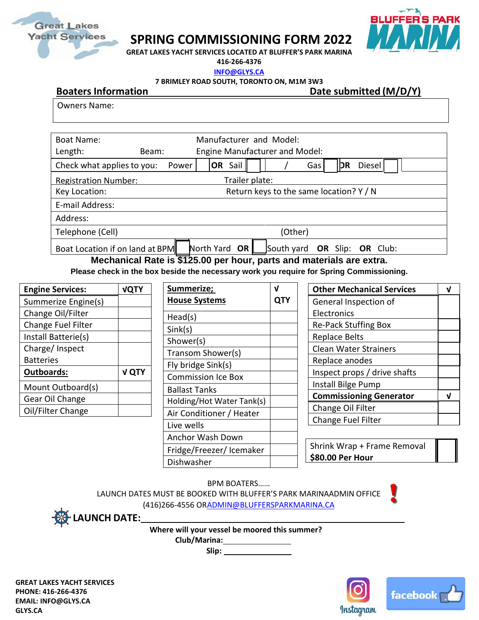

## **SPRING COMMISSIONING FORM 2022**



**GREAT LAKES YACHT SERVICES LOCATED AT BLUFFER'S PARK MARINA** 

**416-266-4376 [INFO@GLYS.CA](mailto:INFO@GLYS.CA)**

**7 BRIMLEY ROAD SOUTH, TORONTO ON, M1M 3W3**

**Boaters** Information **Date submitted** (M/D/Y)

Owners Name:

| Boat Name:                                    |                                         | Manufacturer and Model:                       |  |  |  |
|-----------------------------------------------|-----------------------------------------|-----------------------------------------------|--|--|--|
| Length:                                       | Beam:                                   | <b>Engine Manufacturer and Model:</b>         |  |  |  |
| Check what applies to you:                    | Power                                   | $OR$ Sail<br>Diesel<br>DR<br>Gas              |  |  |  |
| Trailer plate:<br><b>Registration Number:</b> |                                         |                                               |  |  |  |
| Key Location:                                 | Return keys to the same location? Y / N |                                               |  |  |  |
| E-mail Address:                               |                                         |                                               |  |  |  |
| Address:                                      |                                         |                                               |  |  |  |
| Telephone (Cell)<br>(Other)                   |                                         |                                               |  |  |  |
| Boat Location if on land at BPM               | -- - - - - - -                          | North Yard OR<br>South yard OR Slip: OR Club: |  |  |  |

**Mechanical Rate is \$125.00 per hour, parts and materials are extra.** 

**Please check in the box beside the necessary work you require for Spring Commissioning.**

| <b>VQTY</b>  |
|--------------|
|              |
|              |
|              |
|              |
|              |
|              |
| <b>V QTY</b> |
|              |
|              |
|              |
|              |

| Summerize;<br><b>House Systems</b> |  |
|------------------------------------|--|
| Head(s)                            |  |
| Sink(s)                            |  |
| Shower(s)                          |  |
| Transom Shower(s)                  |  |
| Fly bridge Sink(s)                 |  |
| <b>Commission Ice Box</b>          |  |
| Ballast Tanks                      |  |
| Holding/Hot Water Tank(s)          |  |
| Air Conditioner / Heater           |  |
| Live wells                         |  |
| <b>Anchor Wash Down</b>            |  |
| Fridge/Freezer/Icemaker            |  |
| Dishwasher                         |  |

| <b>Other Mechanical Services</b> |  |  |
|----------------------------------|--|--|
| General Inspection of            |  |  |
| Electronics                      |  |  |
| <b>Re-Pack Stuffing Box</b>      |  |  |
| <b>Replace Belts</b>             |  |  |
| <b>Clean Water Strainers</b>     |  |  |
| Replace anodes                   |  |  |
| Inspect props / drive shafts     |  |  |
| Install Bilge Pump               |  |  |
| <b>Commissioning Generator</b>   |  |  |
| Change Oil Filter                |  |  |
| Change Fuel Filter               |  |  |
|                                  |  |  |

Shrink Wrap + Frame Removal **\$80.00 Per Hour**

BPM BOATERS……

LAUNCH DATES MUST BE BOOKED WITH BLUFFER'S PARK MARINAADMIN OFFICE (416)266-4556 O[RADMIN@BLUFFERSPARKMARINA.CA](mailto:ADMIN@BLUFFERSPARKMARINA.CA)



**LAUNCH DATE:** 

**Where will your vessel be moored this summer?**

**Club/Marina:** 

 **Slip:**